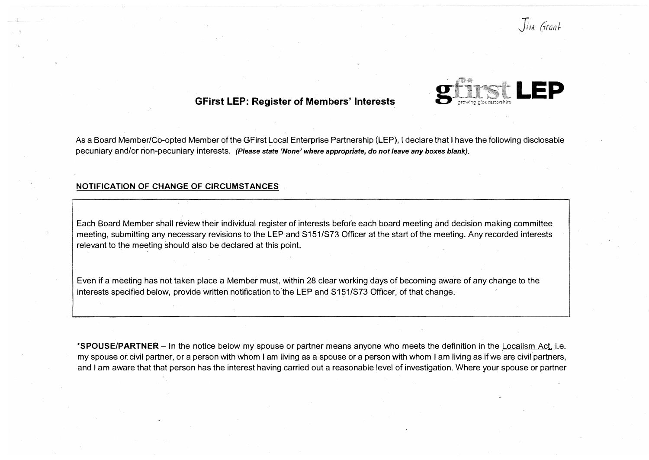

## **GFirst LEP: Register of Members' Interests**

As a Board Member/Co-opted Member of the GFirst Local Enterprise Partnership (LEP), I declare that I have the following disclosable pecuniary and/or non-pecuniary interests. *(Please state 'None' where appropriate, do not leave any boxes blank).*

#### **NOTIFICATION OF CHANGE OF CIRCUMSTANCES**

Each Board Member shall review their individual register of interests before each board meeting and decision making committee meeting, submitting any necessary revisions to the LEP and S151/S73 Officer at the start of the meeting. Any recorded interests relevant to the meeting should also be declared at this point.

Even if a meeting has not taken place a Member must, within 28 clear working days of becoming aware of any change to the interests specified below, provide written notification to the LEP and S151/S73 Officer, of that change.

**\*SPOUSE/PARTNER** - In the notice below my spouse or partner means anyone who meets the definition in the Localism Act, i.e. my spouse or civil partner, or a person with whom I am living as a spouse or a person with whom I am living as if we are civil partners, and I am aware that that person has the interest having carried out a reasonable level of investigation. Where your spouse or partner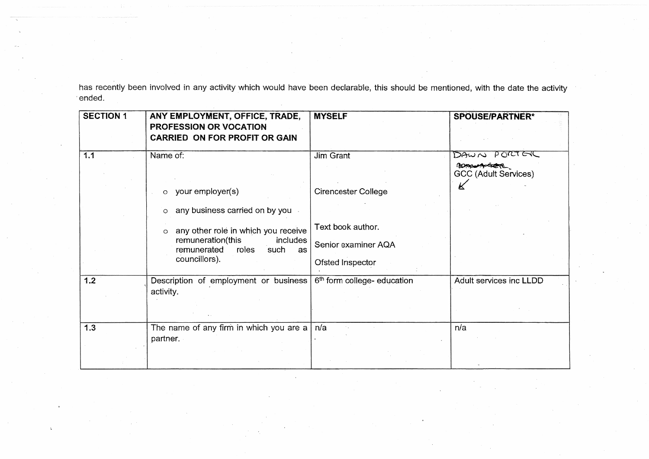has recently been involved in any activity which would have been declarable, this should be mentioned, with the date the activity ended.

| <b>SECTION 1</b> | ANY EMPLOYMENT, OFFICE, TRADE,<br><b>PROFESSION OR VOCATION</b><br><b>CARRIED ON FOR PROFIT OR GAIN</b>                                | <b>MYSELF</b>                                                | SPOUSE/PARTNER*                                    |
|------------------|----------------------------------------------------------------------------------------------------------------------------------------|--------------------------------------------------------------|----------------------------------------------------|
| 1.1              | Name of:                                                                                                                               | Jim Grant                                                    | DAWN PORTER<br>Romant<br>GCC (Adult Services)<br>К |
|                  | your employer(s)<br>$\circ$<br>any business carried on by you<br>$\circ$                                                               | <b>Cirencester College</b>                                   |                                                    |
|                  | any other role in which you receive<br>$\circ$<br>remuneration(this<br>includes<br>remunerated<br>roles<br>such<br>as<br>councillors). | Text book author.<br>Senior examiner AQA<br>Ofsted Inspector |                                                    |
| $1.2$            | Description of employment or business<br>activity.                                                                                     | 6 <sup>th</sup> form college- education                      | Adult services inc LLDD                            |
| 1.3              | The name of any firm in which you are a $ n/a $<br>partner.                                                                            |                                                              | n/a                                                |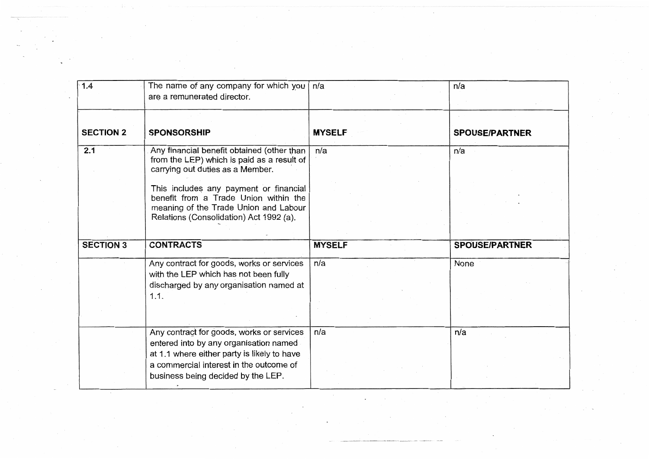| 1.4              | The name of any company for which you<br>are a remunerated director.                                                                                                | n/a           | n/a                   |
|------------------|---------------------------------------------------------------------------------------------------------------------------------------------------------------------|---------------|-----------------------|
| <b>SECTION 2</b> | <b>SPONSORSHIP</b>                                                                                                                                                  | <b>MYSELF</b> | <b>SPOUSE/PARTNER</b> |
|                  |                                                                                                                                                                     |               |                       |
| 2.1              | Any financial benefit obtained (other than<br>from the LEP) which is paid as a result of<br>carrying out duties as a Member.                                        | n/a           | n/a                   |
|                  | This includes any payment or financial<br>benefit from a Trade Union within the<br>meaning of the Trade Union and Labour<br>Relations (Consolidation) Act 1992 (a). |               |                       |
|                  |                                                                                                                                                                     |               |                       |
|                  |                                                                                                                                                                     |               |                       |
| <b>SECTION 3</b> | <b>CONTRACTS</b>                                                                                                                                                    | <b>MYSELF</b> | <b>SPOUSE/PARTNER</b> |
|                  | Any contract for goods, works or services<br>with the LEP which has not been fully<br>discharged by any organisation named at<br>1.1.                               | n/a           | None                  |

 $\sim$   $\sim$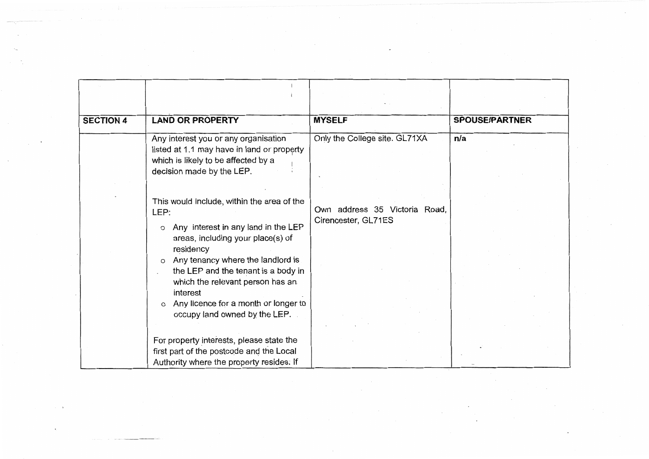| <b>SECTION 4</b> | <b>LAND OR PROPERTY</b>                                                                                                                                                                                                                                                                                                                                                            | <b>MYSELF</b>                                        | <b>SPOUSE/PARTNER</b> |
|------------------|------------------------------------------------------------------------------------------------------------------------------------------------------------------------------------------------------------------------------------------------------------------------------------------------------------------------------------------------------------------------------------|------------------------------------------------------|-----------------------|
|                  |                                                                                                                                                                                                                                                                                                                                                                                    |                                                      |                       |
|                  | Any interest you or any organisation<br>listed at 1.1 may have in land or property<br>which is likely to be affected by a<br>decision made by the LEP.                                                                                                                                                                                                                             | Only the College site. GL71XA                        | n/a                   |
|                  | This would include, within the area of the<br>LEP:<br>Any interest in any land in the LEP<br>$\circ$<br>areas, including your place(s) of<br>residency<br>Any tenancy where the landlord is<br>$\circ$<br>the LEP and the tenant is a body in<br>which the relevant person has an<br>interest<br>Any licence for a month or longer to<br>$\Omega$<br>occupy land owned by the LEP. | Own address 35 Victoria Road,<br>Cirencester, GL71ES |                       |
|                  | For property interests, please state the<br>first part of the postcode and the Local<br>Authority where the property resides. If                                                                                                                                                                                                                                                   |                                                      |                       |

 $\sim$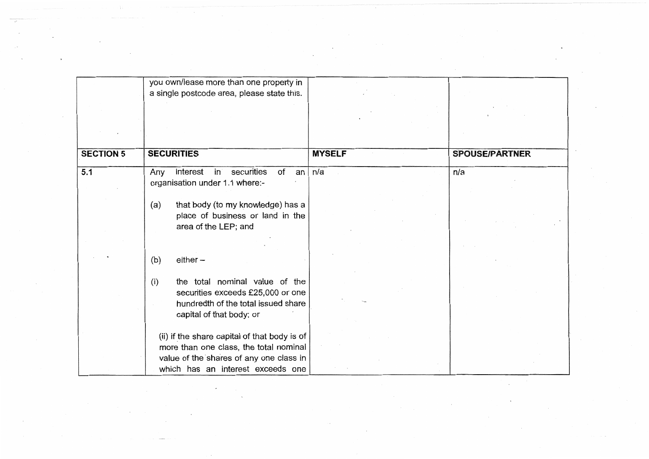|                  | you own/lease more than one property in                                                                                           |               |                       |
|------------------|-----------------------------------------------------------------------------------------------------------------------------------|---------------|-----------------------|
|                  | a single postcode area, please state this.                                                                                        |               |                       |
|                  |                                                                                                                                   |               |                       |
|                  |                                                                                                                                   |               |                       |
| <b>SECTION 5</b> | <b>SECURITIES</b>                                                                                                                 | <b>MYSELF</b> | <b>SPOUSE/PARTNER</b> |
| 5.1              | interest<br>of<br>in<br>securities<br>Any<br>an<br>organisation under 1.1 where:-                                                 | n/a           | n/a                   |
|                  | that body (to my knowledge) has a<br>(a)<br>place of business or land in the<br>area of the LEP; and                              |               |                       |
|                  |                                                                                                                                   |               |                       |
|                  | $either -$<br>(b)                                                                                                                 |               |                       |
|                  | the total nominal value of the<br>(i)<br>securities exceeds £25,000 or one<br>hundredth of the total issued share                 |               |                       |
|                  | capital of that body; or                                                                                                          |               |                       |
|                  | (ii) if the share capital of that body is of<br>more than one class, the total nominal<br>value of the shares of any one class in |               |                       |
|                  | which has an interest exceeds one                                                                                                 |               |                       |

 $\sim$   $\gamma_{\rm He}$ 

 $\sim$ 

 $\mathcal{F}^{\text{max}}_{\text{max}}$ 

 $\sim$ 

 $\sim$ 

 $\lambda$ 

 $\cdot$ 

 $\boldsymbol{\nu}$ 

 $\sim$ 

 $\sim$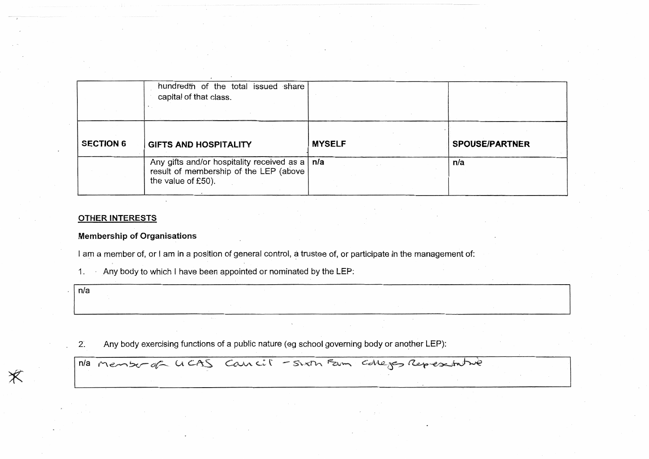|                  | hundredth of the total issued share<br>capital of that class.                                                    |               |                       |
|------------------|------------------------------------------------------------------------------------------------------------------|---------------|-----------------------|
| <b>SECTION 6</b> | <b>GIFTS AND HOSPITALITY</b>                                                                                     | <b>MYSELF</b> | <b>SPOUSE/PARTNER</b> |
|                  | Any gifts and/or hospitality received as a   n/a<br>result of membership of the LEP (above<br>the value of £50). |               | n/a                   |

#### **OTHER INTERESTS**

#### **Membership of Organisations**

I am a member of, or I am in a position of general control, a trustee of, or participate in the management of:

Any body to which I have been appointed or nominated by the LEP: 1.

 $n/a$ 

Ж

 $2^{\cdot}$ Any body exercising functions of a public nature (eg school governing body or another LEP):

Ma Menter of UCAS Cancil - Sixth Fam Colleges Representative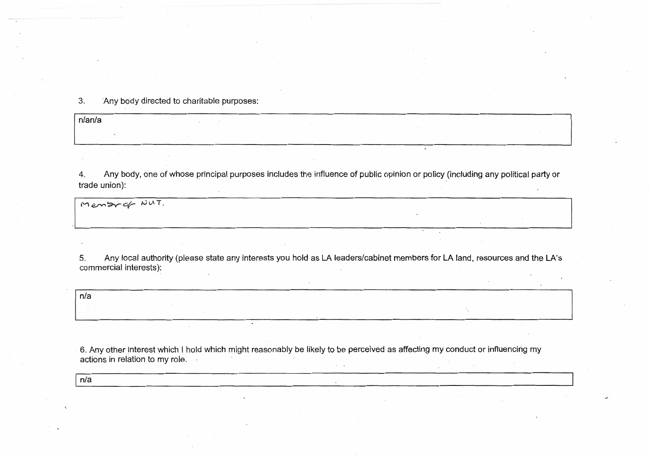$3.$ Any body directed to charitable purposes:

n/an/a

Any body, one of whose principal purposes includes the influence of public opinion or policy (including any political party or 4. trade union):

Membrof NUT.

Any local authority (please state any interests you hold as LA leaders/cabinet members for LA land, resources and the LA's  $5.$ commercial interests):

n/a

6. Any other interest which I hold which might reasonably be likely to be perceived as affecting my conduct or influencing my actions in relation to my role.

 $n/a$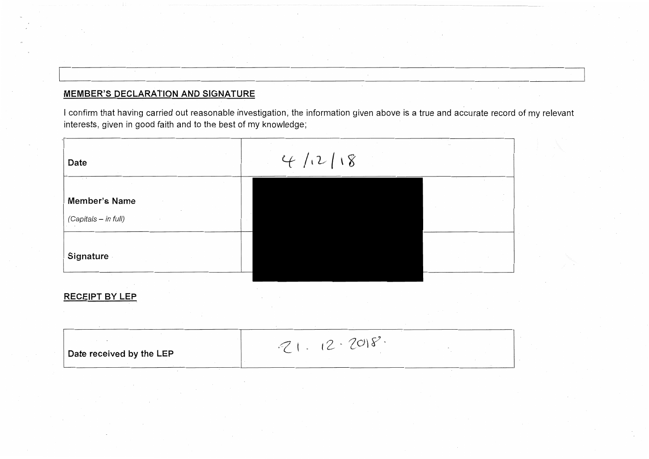# **MEMBER'S DECLARATION AND SIGNATURE**

I confirm that having carried out reasonable investigation, the information given above is a true and accurate record of my relevant interests, given in good faith and to the best of my knowledge;



### **RECEIPT BY LEP**

| Date received by the LEP |  |
|--------------------------|--|
|                          |  |